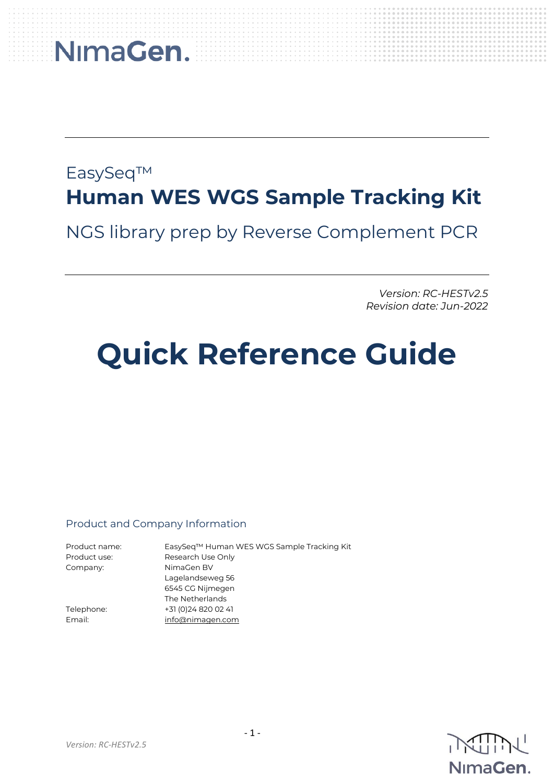### EasySeq™ **Human WES WGS Sample Tracking Kit**

NGS library prep by Reverse Complement PCR

*Version: RC-HESTv2.5 Revision date: Jun-2022*

### **Quick Reference Guide**

#### Product and Company Information

| Product name: | EasySeq™ Human WES WGS Sample Tracking Kit |
|---------------|--------------------------------------------|
| Product use:  | Research Use Only                          |
| Company:      | NimaGen BV                                 |
|               | Lagelandseweg 56                           |
|               | 6545 CG Nijmegen                           |
|               | The Netherlands                            |
| Telephone:    | +31 (0) 24 8 20 0 2 4 1                    |
| Email:        | info@nimagen.com                           |

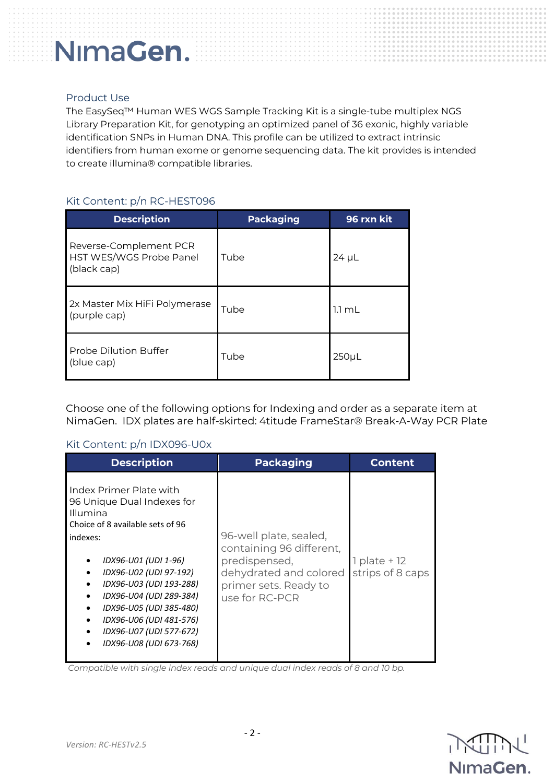#### Product Use

The EasySeq™ Human WES WGS Sample Tracking Kit is a single-tube multiplex NGS Library Preparation Kit, for genotyping an optimized panel of 36 exonic, highly variable identification SNPs in Human DNA. This profile can be utilized to extract intrinsic identifiers from human exome or genome sequencing data. The kit provides is intended to create illumina® compatible libraries.

#### Kit Content: p/n RC-HEST096

| <b>Description</b>                                               | <b>Packaging</b> | 96 rxn kit       |
|------------------------------------------------------------------|------------------|------------------|
| Reverse-Complement PCR<br>HST WES/WGS Probe Panel<br>(black cap) | Tube             | $24 \mu L$       |
| 2x Master Mix HiFi Polymerase<br>(purple cap)                    | Tube             | $1.1 \text{ mL}$ |
| Probe Dilution Buffer<br>(blue cap)                              | Tube             | 250 <sub>µ</sub> |

Choose one of the following options for Indexing and order as a separate item at NimaGen. IDX plates are half-skirted: 4titude FrameStar® Break-A-Way PCR Plate

#### Kit Content: p/n IDX096-U0x

| <b>Description</b>                                                                                                                                                                                                                                                                                                                    | <b>Packaging</b>                                                                                                                         | <b>Content</b>                       |
|---------------------------------------------------------------------------------------------------------------------------------------------------------------------------------------------------------------------------------------------------------------------------------------------------------------------------------------|------------------------------------------------------------------------------------------------------------------------------------------|--------------------------------------|
| Index Primer Plate with<br>96 Unique Dual Indexes for<br>Illumina<br>Choice of 8 available sets of 96<br>indexes:<br>IDX96-U01 (UDI 1-96)<br>IDX96-U02 (UDI 97-192)<br>IDX96-U03 (UDI 193-288)<br>IDX96-U04 (UDI 289-384)<br>IDX96-U05 (UDI 385-480)<br>IDX96-U06 (UDI 481-576)<br>IDX96-U07 (UDI 577-672)<br>IDX96-U08 (UDI 673-768) | 96-well plate, sealed,<br>containing 96 different,<br>predispensed,<br>dehydrated and colored<br>primer sets. Ready to<br>use for RC-PCR | $1$ plate + $12$<br>strips of 8 caps |

*Compatible with single index reads and unique dual index reads of 8 and 10 bp.*

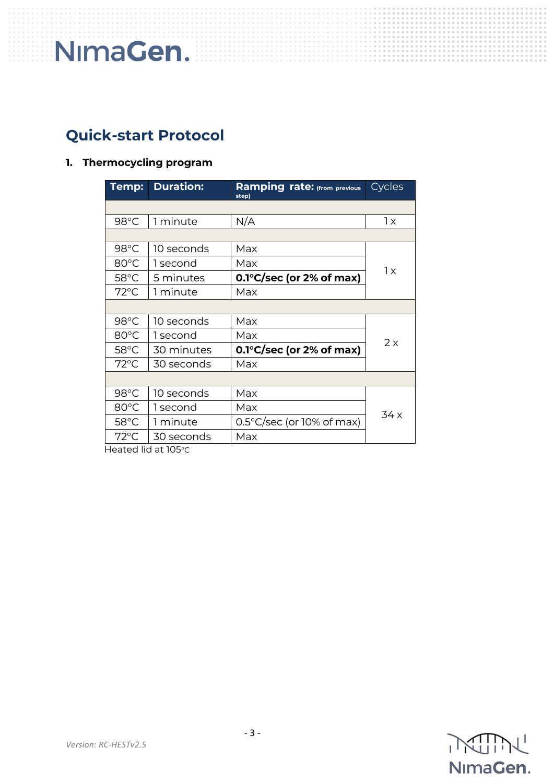### **Quick-start Protocol**

#### **1. Thermocycling program**

| Temp:          | <b>Duration:</b> | <b>Ramping rate:</b> (from previous<br>step) | Cycles |  |
|----------------|------------------|----------------------------------------------|--------|--|
|                |                  |                                              |        |  |
| 98°C           | 1 minute         | N/A                                          | 1x     |  |
|                |                  |                                              |        |  |
| $98^{\circ}$ C | 10 seconds       | Max                                          |        |  |
| 80°C           | 1 second         | Max                                          | 1x     |  |
| $58^{\circ}$ C | 5 minutes        | $0.1^{\circ}$ C/sec (or 2% of max)           |        |  |
| $72^{\circ}$ C | 1 minute         | Max                                          |        |  |
|                |                  |                                              |        |  |
| 98°C           | 10 seconds       | Max                                          |        |  |
| 80°C           | 1 second         | Max                                          | 2x     |  |
| 58°C           | 30 minutes       | $0.1^{\circ}$ C/sec (or 2% of max)           |        |  |
| $72^{\circ}$ C | 30 seconds       | Max                                          |        |  |
|                |                  |                                              |        |  |
| 98°C           | 10 seconds       | Max                                          |        |  |
| 80°C           | 1 second         | Max                                          |        |  |
| $58^{\circ}$ C | 1 minute         | $0.5^{\circ}$ C/sec (or 10% of max)          | 34 x   |  |
| $72^{\circ}$ C | 30 seconds       | Max                                          |        |  |

Heated lid at 105°C

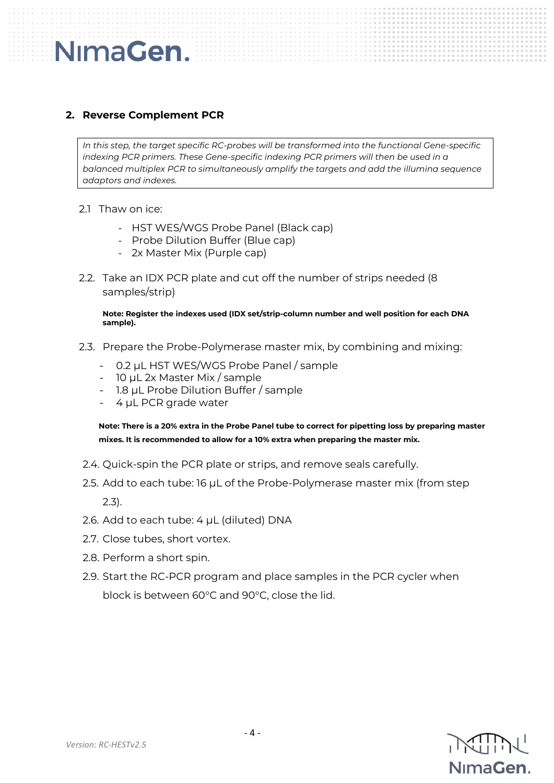#### **2. Reverse Complement PCR**

*In this step, the target specific RC-probes will be transformed into the functional Gene-specific indexing PCR primers. These Gene-specific indexing PCR primers will then be used in a balanced multiplex PCR to simultaneously amplify the targets and add the illumina sequence adaptors and indexes.*

2.1 Thaw on ice:

NimaGen.

- HST WES/WGS Probe Panel (Black cap)
- Probe Dilution Buffer (Blue cap)
- 2x Master Mix (Purple cap)
- 2.2. Take an IDX PCR plate and cut off the number of strips needed (8 samples/strip)

**Note: Register the indexes used (IDX set/strip-column number and well position for each DNA sample).** 

- 2.3. Prepare the Probe-Polymerase master mix, by combining and mixing:
	- 0.2 µL HST WES/WGS Probe Panel / sample
	- 10 µL 2x Master Mix / sample
	- 1.8 µL Probe Dilution Buffer / sample
	- 4 µL PCR grade water

**Note: There is a 20% extra in the Probe Panel tube to correct for pipetting loss by preparing master mixes. It is recommended to allow for a 10% extra when preparing the master mix.**

- 2.4. Quick-spin the PCR plate or strips, and remove seals carefully.
- 2.5. Add to each tube: 16 µL of the Probe-Polymerase master mix (from step 2.3).
- 2.6. Add to each tube: 4 µL (diluted) DNA
- 2.7. Close tubes, short vortex.
- 2.8. Perform a short spin.
- 2.9. Start the RC-PCR program and place samples in the PCR cycler when block is between 60°C and 90°C, close the lid.

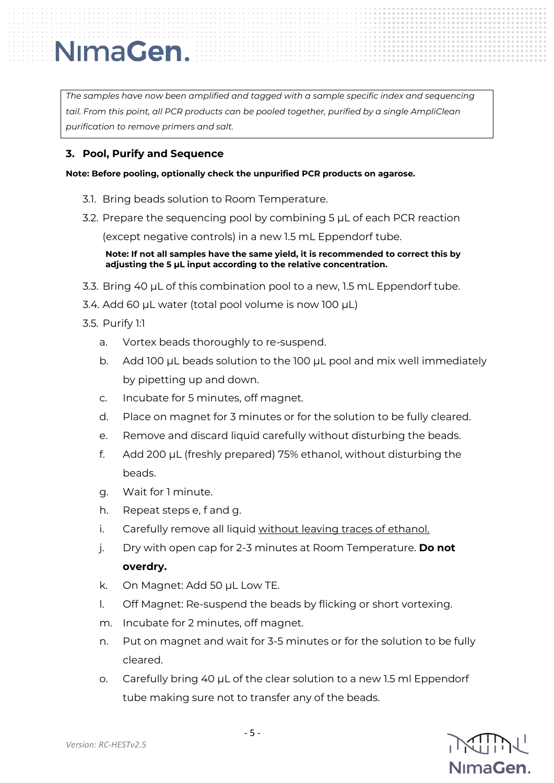*The samples have now been amplified and tagged with a sample specific index and sequencing tail. From this point, all PCR products can be pooled together, purified by a single AmpliClean purification to remove primers and salt.*

#### **3. Pool, Purify and Sequence**

**Note: Before pooling, optionally check the unpurified PCR products on agarose.**

- 3.1. Bring beads solution to Room Temperature.
- 3.2. Prepare the sequencing pool by combining 5 µL of each PCR reaction

(except negative controls) in a new 1.5 mL Eppendorf tube.

**Note: If not all samples have the same yield, it is recommended to correct this by adjusting the 5 µL input according to the relative concentration.**

- 3.3. Bring 40 µL of this combination pool to a new, 1.5 mL Eppendorf tube.
- 3.4. Add 60 µL water (total pool volume is now 100 µL)
- 3.5. Purify 1:1
	- a. Vortex beads thoroughly to re-suspend.
	- b. Add 100 µL beads solution to the 100 µL pool and mix well immediately by pipetting up and down.
	- c. Incubate for 5 minutes, off magnet.
	- d. Place on magnet for 3 minutes or for the solution to be fully cleared.
	- e. Remove and discard liquid carefully without disturbing the beads.
	- f. Add 200 µL (freshly prepared) 75% ethanol, without disturbing the beads.
	- g. Wait for 1 minute.
	- h. Repeat steps e, f and g.
	- i. Carefully remove all liquid without leaving traces of ethanol.
	- j. Dry with open cap for 2-3 minutes at Room Temperature. **Do not overdry.**
	- k. On Magnet: Add 50 µL Low TE.
	- l. Off Magnet: Re-suspend the beads by flicking or short vortexing.
	- m. Incubate for 2 minutes, off magnet.
	- n. Put on magnet and wait for 3-5 minutes or for the solution to be fully cleared.
	- o. Carefully bring 40 µL of the clear solution to a new 1.5 ml Eppendorf tube making sure not to transfer any of the beads.

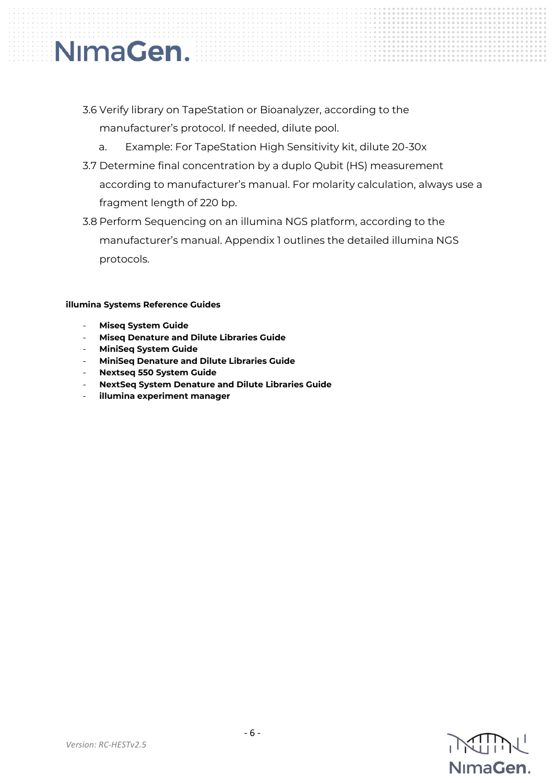### 3.6 Verify library on TapeStation or Bioanalyzer, according to the manufacturer's protocol. If needed, dilute pool.

- a. Example: For TapeStation High Sensitivity kit, dilute 20-30x
- 3.7 Determine final concentration by a duplo Qubit (HS) measurement according to manufacturer's manual. For molarity calculation, always use a fragment length of 220 bp.
- 3.8 Perform Sequencing on an illumina NGS platform, according to the manufacturer's manual. Appendix 1 outlines the detailed illumina NGS protocols.

#### **illumina Systems Reference Guides**

- **Miseq System Guide**

NimaGen.

- **Miseq Denature and Dilute Libraries Guide**
- **MiniSeq System Guide**
- **MiniSeq Denature and Dilute Libraries Guide**
- **Nextseq 550 System Guide**
- **NextSeq System Denature and Dilute Libraries Guide**
- **illumina experiment manager**

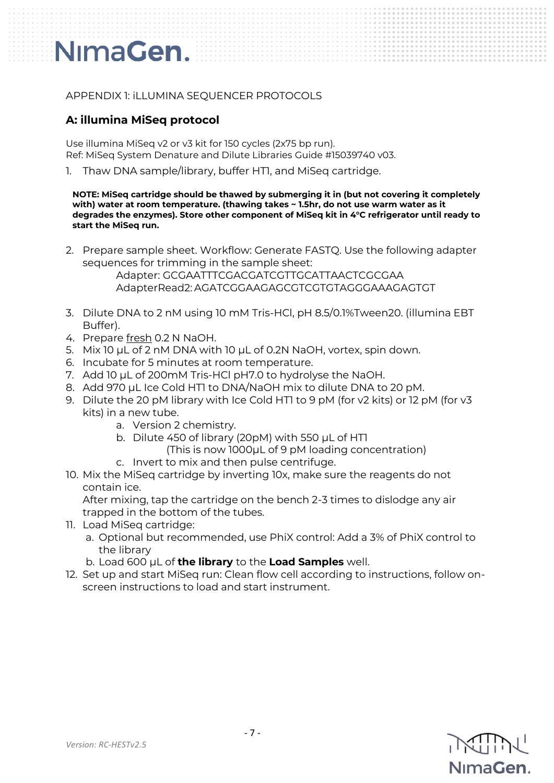#### APPENDIX 1: iLLUMINA SEQUENCER PROTOCOLS

#### **A: illumina MiSeq protocol**

Use illumina MiSeq v2 or v3 kit for 150 cycles (2x75 bp run). Ref: MiSeq System Denature and Dilute Libraries Guide #15039740 v03.

1. Thaw DNA sample/library, buffer HT1, and MiSeq cartridge.

**NOTE: MiSeq cartridge should be thawed by submerging it in (but not covering it completely with) water at room temperature. (thawing takes ~ 1.5hr, do not use warm water as it degrades the enzymes). Store other component of MiSeq kit in 4°C refrigerator until ready to start the MiSeq run.**

2. Prepare sample sheet. Workflow: Generate FASTQ. Use the following adapter sequences for trimming in the sample sheet:

> Adapter: GCGAATTTCGACGATCGTTGCATTAACTCGCGAA AdapterRead2: AGATCGGAAGAGCGTCGTGTAGGGAAAGAGTGT

- 3. Dilute DNA to 2 nM using 10 mM Tris-HCl, pH 8.5/0.1%Tween20. (illumina EBT Buffer).
- 4. Prepare fresh 0.2 N NaOH.
- 5. Mix 10 uL of 2 nM DNA with 10 uL of 0.2N NaOH, vortex, spin down.
- 6. Incubate for 5 minutes at room temperature.
- 7. Add 10 µL of 200mM Tris-HCl pH7.0 to hydrolyse the NaOH.
- 8. Add 970 µL Ice Cold HT1 to DNA/NaOH mix to dilute DNA to 20 pM.
- 9. Dilute the 20 pM library with Ice Cold HTI to 9 pM (for v2 kits) or 12 pM (for v3 kits) in a new tube.
	- a. Version 2 chemistry.
	- b. Dilute 450 of library (20pM) with 550 µL of HT1
		- (This is now 1000µL of 9 pM loading concentration)
	- c. Invert to mix and then pulse centrifuge.
- 10. Mix the MiSeq cartridge by inverting 10x, make sure the reagents do not contain ice.

After mixing, tap the cartridge on the bench 2-3 times to dislodge any air trapped in the bottom of the tubes.

- 11. Load MiSeq cartridge:
	- a. Optional but recommended, use PhiX control: Add a 3% of PhiX control to the library
	- b. Load 600 µL of **the library** to the **Load Samples** well.
- 12. Set up and start MiSeq run: Clean flow cell according to instructions, follow onscreen instructions to load and start instrument.

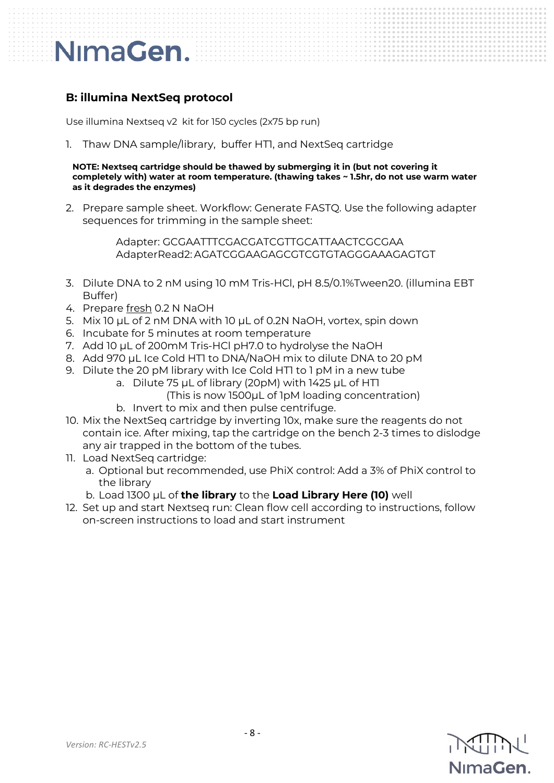#### **B: illumina NextSeq protocol**

Use illumina Nextseq v2 kit for 150 cycles (2x75 bp run)

1. Thaw DNA sample/library, buffer HTI, and NextSeq cartridge

**NOTE: Nextseq cartridge should be thawed by submerging it in (but not covering it completely with) water at room temperature. (thawing takes ~ 1.5hr, do not use warm water as it degrades the enzymes)** 

2. Prepare sample sheet. Workflow: Generate FASTQ. Use the following adapter sequences for trimming in the sample sheet:

> Adapter: GCGAATTTCGACGATCGTTGCATTAACTCGCGAA AdapterRead2: AGATCGGAAGAGCGTCGTGTAGGGAAAGAGTGT

- 3. Dilute DNA to 2 nM using 10 mM Tris-HCl, pH 8.5/0.1%Tween20. (illumina EBT Buffer)
- 4. Prepare fresh 0.2 N NaOH
- 5. Mix 10 µL of 2 nM DNA with 10 µL of 0.2N NaOH, vortex, spin down
- 6. Incubate for 5 minutes at room temperature
- 7. Add 10 µL of 200mM Tris-HCl pH7.0 to hydrolyse the NaOH
- 8. Add 970 µL Ice Cold HTI to DNA/NaOH mix to dilute DNA to 20 pM
- 9. Dilute the 20 pM library with Ice Cold HT1 to 1 pM in a new tube
	- a. Dilute 75 µL of library (20pM) with 1425 µL of HT1
		- (This is now 1500µL of 1pM loading concentration)
	- b. Invert to mix and then pulse centrifuge.
- 10. Mix the NextSeq cartridge by inverting 10x, make sure the reagents do not contain ice. After mixing, tap the cartridge on the bench 2-3 times to dislodge any air trapped in the bottom of the tubes.
- 11. Load NextSeq cartridge:
	- a. Optional but recommended, use PhiX control: Add a 3% of PhiX control to the library
	- b. Load 1300 µL of **the library** to the **Load Library Here (10)** well
- 12. Set up and start Nextseq run: Clean flow cell according to instructions, follow on-screen instructions to load and start instrument

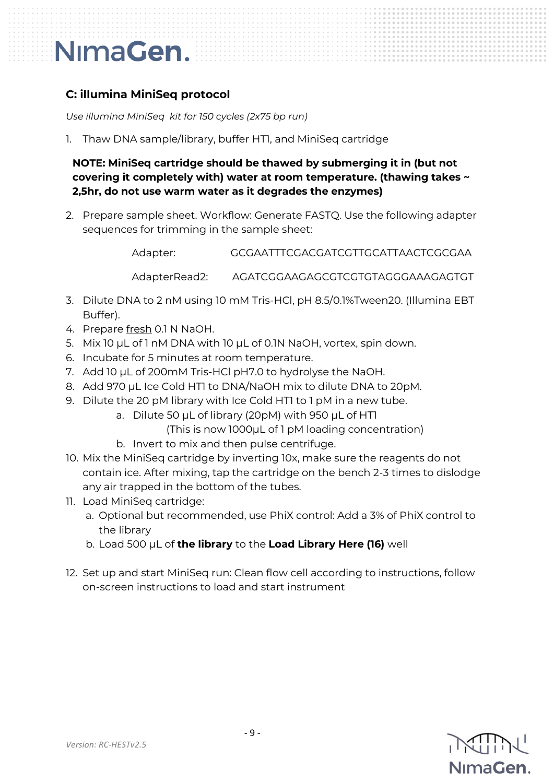#### **C: illumina MiniSeq protocol**

*Use illumina MiniSeq kit for 150 cycles (2x75 bp run)*

1. Thaw DNA sample/library, buffer HT1, and MiniSeq cartridge

**NOTE: MiniSeq cartridge should be thawed by submerging it in (but not covering it completely with) water at room temperature. (thawing takes ~ 2,5hr, do not use warm water as it degrades the enzymes)** 

2. Prepare sample sheet. Workflow: Generate FASTQ. Use the following adapter sequences for trimming in the sample sheet:

Adapter: GCGAATTTCGACGATCGTTGCATTAACTCGCGAA

AdapterRead2: AGATCGGAAGAGCGTCGTGTAGGGAAAGAGTGT

- 3. Dilute DNA to 2 nM using 10 mM Tris-HCl, pH 8.5/0.1%Tween20. (Illumina EBT Buffer).
- 4. Prepare fresh 0.1 N NaOH.
- 5. Mix 10 µL of 1 nM DNA with 10 µL of 0.1N NaOH, vortex, spin down.
- 6. Incubate for 5 minutes at room temperature.
- 7. Add 10 µL of 200mM Tris-HCl pH7.0 to hydrolyse the NaOH.
- 8. Add 970 µL Ice Cold HTI to DNA/NaOH mix to dilute DNA to 20pM.
- 9. Dilute the 20 pM library with Ice Cold HTI to 1 pM in a new tube.
	- a. Dilute 50 µL of library (20pM) with 950 µL of HT1

(This is now 1000µL of 1 pM loading concentration)

- b. Invert to mix and then pulse centrifuge.
- 10. Mix the MiniSeq cartridge by inverting 10x, make sure the reagents do not contain ice. After mixing, tap the cartridge on the bench 2-3 times to dislodge any air trapped in the bottom of the tubes.
- 11. Load MiniSeq cartridge:
	- a. Optional but recommended, use PhiX control: Add a 3% of PhiX control to the library
	- b. Load 500 µL of **the library** to the **Load Library Here (16)** well
- 12. Set up and start MiniSeq run: Clean flow cell according to instructions, follow on-screen instructions to load and start instrument